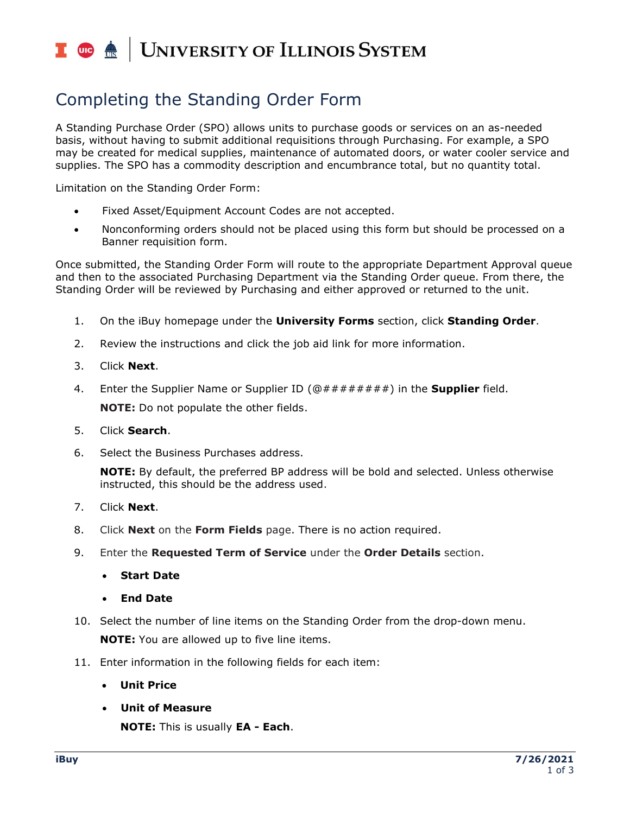## UNIVERSITY OF ILLINOIS SYSTEM I de <u>é</u>

# Completing the Standing Order Form

A Standing Purchase Order (SPO) allows units to purchase goods or services on an as-needed basis, without having to submit additional requisitions through Purchasing. For example, a SPO may be created for medical supplies, maintenance of automated doors, or water cooler service and supplies. The SPO has a commodity description and encumbrance total, but no quantity total.

Limitation on the Standing Order Form:

- Fixed Asset/Equipment Account Codes are not accepted.
- Nonconforming orders should not be placed using this form but should be processed on a Banner requisition form.

Once submitted, the Standing Order Form will route to the appropriate Department Approval queue and then to the associated Purchasing Department via the Standing Order queue. From there, the Standing Order will be reviewed by Purchasing and either approved or returned to the unit.

- 1. On the iBuy homepage under the **University Forms** section, click **Standing Order**.
- 2. Review the instructions and click the job aid link for more information.
- 3. Click **Next**.
- 4. Enter the Supplier Name or Supplier ID (@########) in the **Supplier** field. **NOTE:** Do not populate the other fields.
- 5. Click **Search**.
- 6. Select the Business Purchases address.

**NOTE:** By default, the preferred BP address will be bold and selected. Unless otherwise instructed, this should be the address used.

- 7. Click **Next**.
- 8. Click **Next** on the **Form Fields** page. There is no action required.
- 9. Enter the **Requested Term of Service** under the **Order Details** section.
	- **Start Date**
	- **End Date**
- 10. Select the number of line items on the Standing Order from the drop-down menu. **NOTE:** You are allowed up to five line items.
- 11. Enter information in the following fields for each item:
	- **Unit Price**
	- **Unit of Measure**

**NOTE:** This is usually **EA - Each**.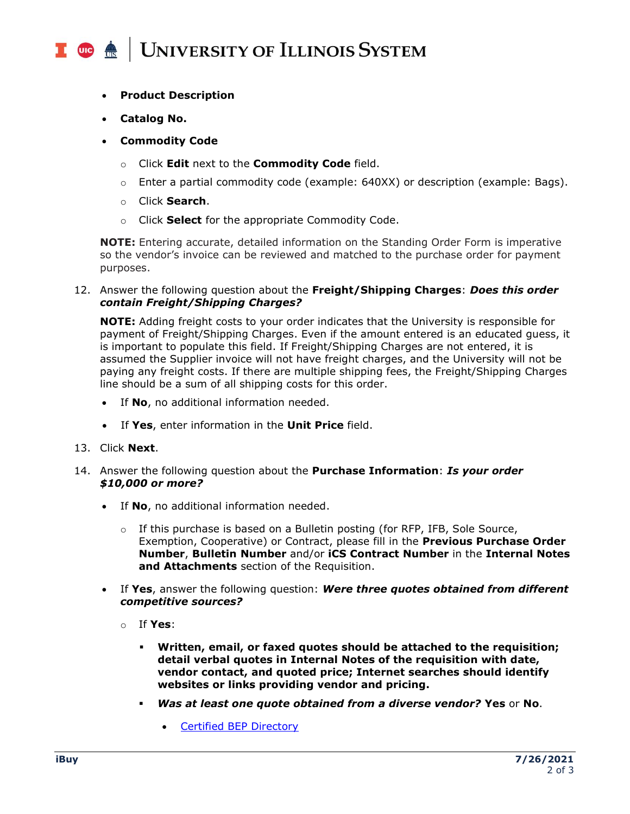#### **UNIVERSITY OF ILLINOIS SYSTEM** I die 4

- **Product Description**
- **Catalog No.**
- **Commodity Code**
	- o Click **Edit** next to the **Commodity Code** field.
	- $\circ$  Enter a partial commodity code (example: 640XX) or description (example: Bags).
	- o Click **Search**.
	- o Click **Select** for the appropriate Commodity Code.

**NOTE:** Entering accurate, detailed information on the Standing Order Form is imperative so the vendor's invoice can be reviewed and matched to the purchase order for payment purposes.

12. Answer the following question about the **Freight/Shipping Charges**: *Does this order contain Freight/Shipping Charges?*

**NOTE:** Adding freight costs to your order indicates that the University is responsible for payment of Freight/Shipping Charges. Even if the amount entered is an educated guess, it is important to populate this field. If Freight/Shipping Charges are not entered, it is assumed the Supplier invoice will not have freight charges, and the University will not be paying any freight costs. If there are multiple shipping fees, the Freight/Shipping Charges line should be a sum of all shipping costs for this order.

- If **No**, no additional information needed.
- If **Yes**, enter information in the **Unit Price** field.
- 13. Click **Next**.
- 14. Answer the following question about the **Purchase Information**: *Is your order \$10,000 or more?*
	- If **No**, no additional information needed.
		- $\circ$  If this purchase is based on a Bulletin posting (for RFP, IFB, Sole Source, Exemption, Cooperative) or Contract, please fill in the **Previous Purchase Order Number**, **Bulletin Number** and/or **iCS Contract Number** in the **Internal Notes and Attachments** section of the Requisition.
	- If **Yes**, answer the following question: *Were three quotes obtained from different competitive sources?*
		- o If **Yes**:
			- **Written, email, or faxed quotes should be attached to the requisition; detail verbal quotes in Internal Notes of the requisition with date, vendor contact, and quoted price; Internet searches should identify websites or links providing vendor and pricing.**
			- *Was at least one quote obtained from a diverse vendor?* **Yes** or **No**.
				- [Certified BEP Directory](https://cms.diversitycompliance.com/)